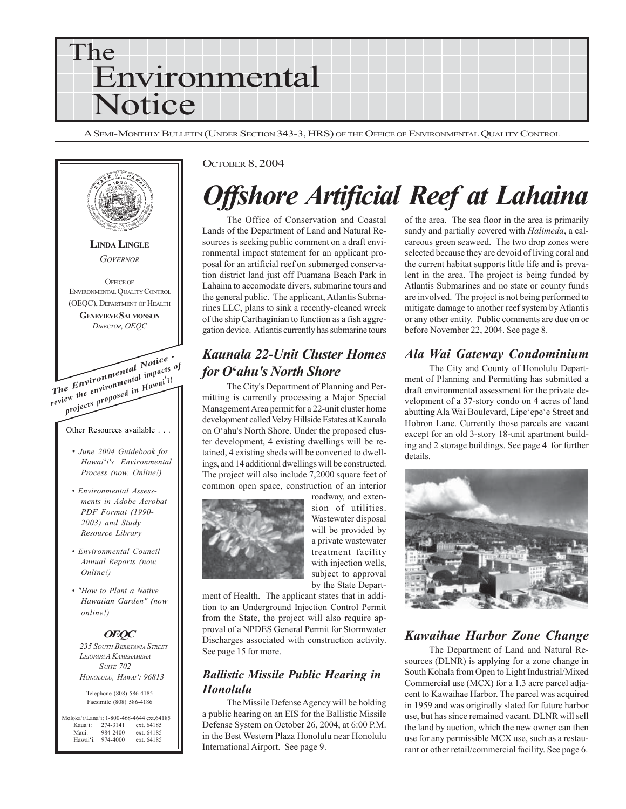

A SEMI-MONTHLY BULLETIN (UNDER SECTION 343-3, HRS) OF THE OFFICE OF ENVIRONMENTAL QUALITY CONTROL



#### OCTOBER 8, 2004

## *Offshore Artificial Reef at Lahaina*

The Office of Conservation and Coastal Lands of the Department of Land and Natural Resources is seeking public comment on a draft environmental impact statement for an applicant proposal for an artificial reef on submerged conservation district land just off Puamana Beach Park in Lahaina to accomodate divers, submarine tours and the general public. The applicant, Atlantis Submarines LLC, plans to sink a recently-cleaned wreck of the ship Carthaginian to function as a fish aggregation device. Atlantis currently has submarine tours

## *Kaunala 22-Unit Cluster Homes for O***'***ahu's North Shore*

The City's Department of Planning and Permitting is currently processing a Major Special Management Area permit for a 22-unit cluster home development called Velzy Hillside Estates at Kaunala on O'ahu's North Shore. Under the proposed cluster development, 4 existing dwellings will be retained, 4 existing sheds will be converted to dwellings, and 14 additional dwellings will be constructed. The project will also include 7,2000 square feet of common open space, construction of an interior



roadway, and extension of utilities. Wastewater disposal will be provided by a private wastewater treatment facility with injection wells, subject to approval by the State Depart-

ment of Health. The applicant states that in addition to an Underground Injection Control Permit from the State, the project will also require approval of a NPDES General Permit for Stormwater Discharges associated with construction activity. See page 15 for more.

#### *Ballistic Missile Public Hearing in Honolulu*

The Missile Defense Agency will be holding a public hearing on an EIS for the Ballistic Missile Defense System on October 26, 2004, at 6:00 P.M. in the Best Western Plaza Honolulu near Honolulu International Airport. See page 9.

of the area. The sea floor in the area is primarily sandy and partially covered with *Halimeda*, a calcareous green seaweed. The two drop zones were selected because they are devoid of living coral and the current habitat supports little life and is prevalent in the area. The project is being funded by Atlantis Submarines and no state or county funds are involved. The project is not being performed to mitigate damage to another reef system by Atlantis or any other entity. Public comments are due on or before November 22, 2004. See page 8.

#### *Ala Wai Gateway Condominium*

The City and County of Honolulu Department of Planning and Permitting has submitted a draft environmental assessment for the private development of a 37-story condo on 4 acres of land abutting Ala Wai Boulevard, Lipe'epe'e Street and Hobron Lane. Currently those parcels are vacant except for an old 3-story 18-unit apartment building and 2 storage buildings. See page 4 for further details.



### *Kawaihae Harbor Zone Change*

The Department of Land and Natural Resources (DLNR) is applying for a zone change in South Kohala from Open to Light Industrial/Mixed Commercial use (MCX) for a 1.3 acre parcel adjacent to Kawaihae Harbor. The parcel was acquired in 1959 and was originally slated for future harbor use, but has since remained vacant. DLNR will sell the land by auction, which the new owner can then use for any permissible MCX use, such as a restaurant or other retail/commercial facility. See page 6.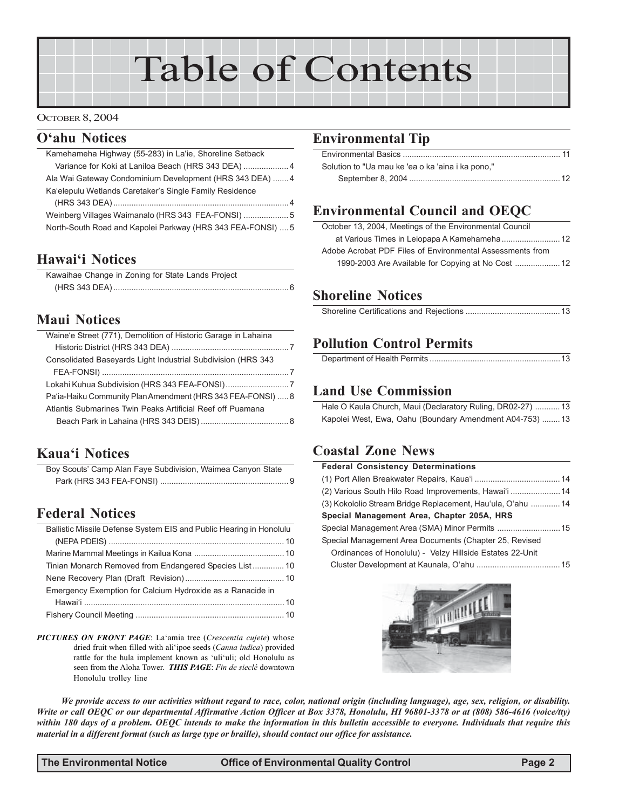# Table of Contents

#### OCTOBER 8, 2004

### **O'ahu Notices**

| Kamehameha Highway (55-283) in La'ie, Shoreline Setback     |  |
|-------------------------------------------------------------|--|
| Variance for Koki at Laniloa Beach (HRS 343 DEA)  4         |  |
| Ala Wai Gateway Condominium Development (HRS 343 DEA) 4     |  |
| Ka'elepulu Wetlands Caretaker's Single Family Residence     |  |
|                                                             |  |
| Weinberg Villages Waimanalo (HRS 343 FEA-FONSI)  5          |  |
| North-South Road and Kapolei Parkway (HRS 343 FEA-FONSI)  5 |  |
|                                                             |  |

## **Hawai'i Notices**

| Kawaihae Change in Zoning for State Lands Project |
|---------------------------------------------------|
|                                                   |
|                                                   |

## **Maui Notices**

| Waine'e Street (771), Demolition of Historic Garage in Lahaina |  |
|----------------------------------------------------------------|--|
|                                                                |  |
| Consolidated Basevards Light Industrial Subdivision (HRS 343)  |  |
|                                                                |  |
| Lokahi Kuhua Subdivision (HRS 343 FEA-FONSI)7                  |  |
| Pa'ia-Haiku Community Plan Amendment (HRS 343 FEA-FONSI)  8    |  |
| Atlantis Submarines Twin Peaks Artificial Reef off Puamana     |  |
|                                                                |  |
|                                                                |  |

## **Kaua'i Notices**

| Boy Scouts' Camp Alan Faye Subdivision, Waimea Canyon State |  |
|-------------------------------------------------------------|--|
|                                                             |  |

## **Federal Notices**

| Ballistic Missile Defense System EIS and Public Hearing in Honolulu |  |
|---------------------------------------------------------------------|--|
|                                                                     |  |
|                                                                     |  |
| Tinian Monarch Removed from Endangered Species List 10              |  |
|                                                                     |  |
| Emergency Exemption for Calcium Hydroxide as a Ranacide in          |  |
|                                                                     |  |
|                                                                     |  |

*PICTURES ON FRONT PAGE*: La'amia tree (*Crescentia cujete*) whose dried fruit when filled with ali'ipoe seeds (*Canna indica*) provided rattle for the hula implement known as 'uli'uli; old Honolulu as seen from the Aloha Tower. *THIS PAGE*: *Fin de sieclé* downtown Honolulu trolley line

## **Environmental Tip**

| Solution to "Ua mau ke 'ea o ka 'aina i ka pono," |  |
|---------------------------------------------------|--|
|                                                   |  |

## **Environmental Council and OEQC**

| October 13, 2004, Meetings of the Environmental Council   |  |
|-----------------------------------------------------------|--|
|                                                           |  |
| Adobe Acrobat PDF Files of Environmental Assessments from |  |
|                                                           |  |

## **Shoreline Notices**

## **Pollution Control Permits**

## **Land Use Commission**

| Hale O Kaula Church, Maui (Declaratory Ruling, DR02-27) 13 |
|------------------------------------------------------------|
| Kapolei West, Ewa, Oahu (Boundary Amendment A04-753)  13   |

## **Coastal Zone News**

| <b>Federal Consistency Determinations</b>                   |  |  |  |
|-------------------------------------------------------------|--|--|--|
|                                                             |  |  |  |
| (2) Various South Hilo Road Improvements, Hawai'i  14       |  |  |  |
| (3) Kokololio Stream Bridge Replacement, Hau'ula, O'ahu  14 |  |  |  |
| Special Management Area, Chapter 205A, HRS                  |  |  |  |
|                                                             |  |  |  |
| Special Management Area Documents (Chapter 25, Revised      |  |  |  |
| Ordinances of Honolulu) - Velzy Hillside Estates 22-Unit    |  |  |  |
|                                                             |  |  |  |
|                                                             |  |  |  |



*We provide access to our activities without regard to race, color, national origin (including language), age, sex, religion, or disability. Write or call OEQC or our departmental Affirmative Action Officer at Box 3378, Honolulu, HI 96801-3378 or at (808) 586-4616 (voice/tty) within 180 days of a problem. OEQC intends to make the information in this bulletin accessible to everyone. Individuals that require this material in a different format (such as large type or braille), should contact our office for assistance.*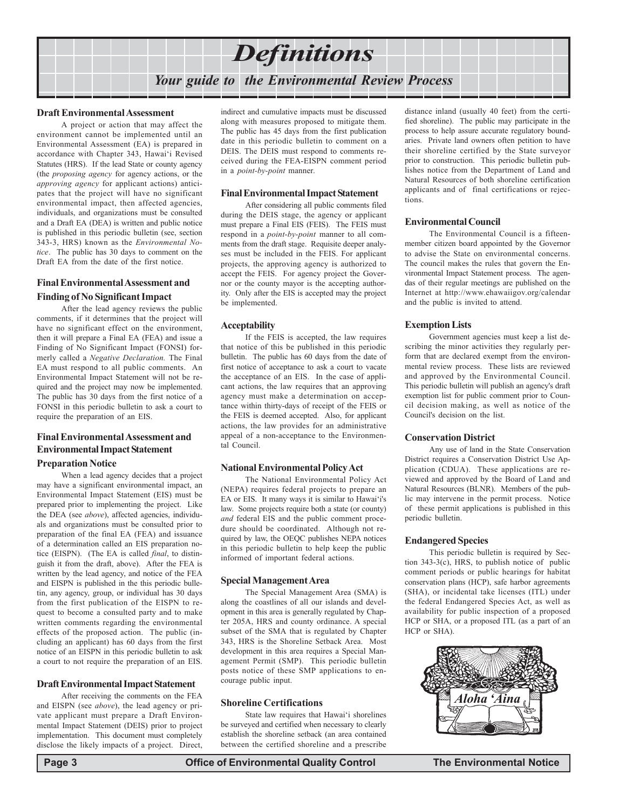

#### **Draft Environmental Assessment**

A project or action that may affect the environment cannot be implemented until an Environmental Assessment (EA) is prepared in accordance with Chapter 343, Hawai'i Revised Statutes (HRS). If the lead State or county agency (the *proposing agency* for agency actions, or the *approving agency* for applicant actions) anticipates that the project will have no significant environmental impact, then affected agencies, individuals, and organizations must be consulted and a Draft EA (DEA) is written and public notice is published in this periodic bulletin (see, section 343-3, HRS) known as the *Environmental Notice*. The public has 30 days to comment on the Draft EA from the date of the first notice.

#### **Final Environmental Assessment and**

#### **Finding of No Significant Impact**

After the lead agency reviews the public comments, if it determines that the project will have no significant effect on the environment, then it will prepare a Final EA (FEA) and issue a Finding of No Significant Impact (FONSI) formerly called a *Negative Declaration.* The Final EA must respond to all public comments. An Environmental Impact Statement will not be required and the project may now be implemented. The public has 30 days from the first notice of a FONSI in this periodic bulletin to ask a court to require the preparation of an EIS.

#### **Final Environmental Assessment and Environmental Impact Statement**

#### **Preparation Notice**

When a lead agency decides that a project may have a significant environmental impact, an Environmental Impact Statement (EIS) must be prepared prior to implementing the project. Like the DEA (see *above*), affected agencies, individuals and organizations must be consulted prior to preparation of the final EA (FEA) and issuance of a determination called an EIS preparation notice (EISPN). (The EA is called *final*, to distinguish it from the draft, above). After the FEA is written by the lead agency, and notice of the FEA and EISPN is published in the this periodic bulletin, any agency, group, or individual has 30 days from the first publication of the EISPN to request to become a consulted party and to make written comments regarding the environmental effects of the proposed action. The public (including an applicant) has 60 days from the first notice of an EISPN in this periodic bulletin to ask a court to not require the preparation of an EIS.

#### **Draft Environmental Impact Statement**

After receiving the comments on the FEA and EISPN (see *above*), the lead agency or private applicant must prepare a Draft Environmental Impact Statement (DEIS) prior to project implementation. This document must completely disclose the likely impacts of a project. Direct,

indirect and cumulative impacts must be discussed along with measures proposed to mitigate them. The public has 45 days from the first publication date in this periodic bulletin to comment on a DEIS. The DEIS must respond to comments received during the FEA-EISPN comment period in a *point-by-point* manner.

#### **Final Environmental Impact Statement**

After considering all public comments filed during the DEIS stage, the agency or applicant must prepare a Final EIS (FEIS). The FEIS must respond in a *point-by-point* manner to all comments from the draft stage. Requisite deeper analyses must be included in the FEIS. For applicant projects, the approving agency is authorized to accept the FEIS. For agency project the Governor or the county mayor is the accepting authority. Only after the EIS is accepted may the project be implemented.

#### **Acceptability**

If the FEIS is accepted, the law requires that notice of this be published in this periodic bulletin. The public has 60 days from the date of first notice of acceptance to ask a court to vacate the acceptance of an EIS. In the case of applicant actions, the law requires that an approving agency must make a determination on acceptance within thirty-days of receipt of the FEIS or the FEIS is deemed accepted. Also, for applicant actions, the law provides for an administrative appeal of a non-acceptance to the Environmental Council.

#### **National Environmental Policy Act**

The National Environmental Policy Act (NEPA) requires federal projects to prepare an EA or EIS. It many ways it is similar to Hawai'i's law. Some projects require both a state (or county) *and* federal EIS and the public comment procedure should be coordinated. Although not required by law, the OEQC publishes NEPA notices in this periodic bulletin to help keep the public informed of important federal actions.

#### **Special Management Area**

The Special Management Area (SMA) is along the coastlines of all our islands and development in this area is generally regulated by Chapter 205A, HRS and county ordinance. A special subset of the SMA that is regulated by Chapter 343, HRS is the Shoreline Setback Area. Most development in this area requires a Special Management Permit (SMP). This periodic bulletin posts notice of these SMP applications to encourage public input.

#### **Shoreline Certifications**

State law requires that Hawai'i shorelines be surveyed and certified when necessary to clearly establish the shoreline setback (an area contained between the certified shoreline and a prescribe

distance inland (usually 40 feet) from the certified shoreline). The public may participate in the process to help assure accurate regulatory boundaries. Private land owners often petition to have their shoreline certified by the State surveyor prior to construction. This periodic bulletin publishes notice from the Department of Land and Natural Resources of both shoreline certification applicants and of final certifications or rejections.

#### **Environmental Council**

The Environmental Council is a fifteenmember citizen board appointed by the Governor to advise the State on environmental concerns. The council makes the rules that govern the Environmental Impact Statement process. The agendas of their regular meetings are published on the Internet at http://www.ehawaiigov.org/calendar and the public is invited to attend.

#### **Exemption Lists**

Government agencies must keep a list describing the minor activities they regularly perform that are declared exempt from the environmental review process. These lists are reviewed and approved by the Environmental Council. This periodic bulletin will publish an agency's draft exemption list for public comment prior to Council decision making, as well as notice of the Council's decision on the list.

#### **Conservation District**

Any use of land in the State Conservation District requires a Conservation District Use Application (CDUA). These applications are reviewed and approved by the Board of Land and Natural Resources (BLNR). Members of the public may intervene in the permit process. Notice of these permit applications is published in this periodic bulletin.

#### **Endangered Species**

This periodic bulletin is required by Section 343-3(c), HRS, to publish notice of public comment periods or public hearings for habitat conservation plans (HCP), safe harbor agreements (SHA), or incidental take licenses (ITL) under the federal Endangered Species Act, as well as availability for public inspection of a proposed HCP or SHA, or a proposed ITL (as a part of an HCP or SHA).

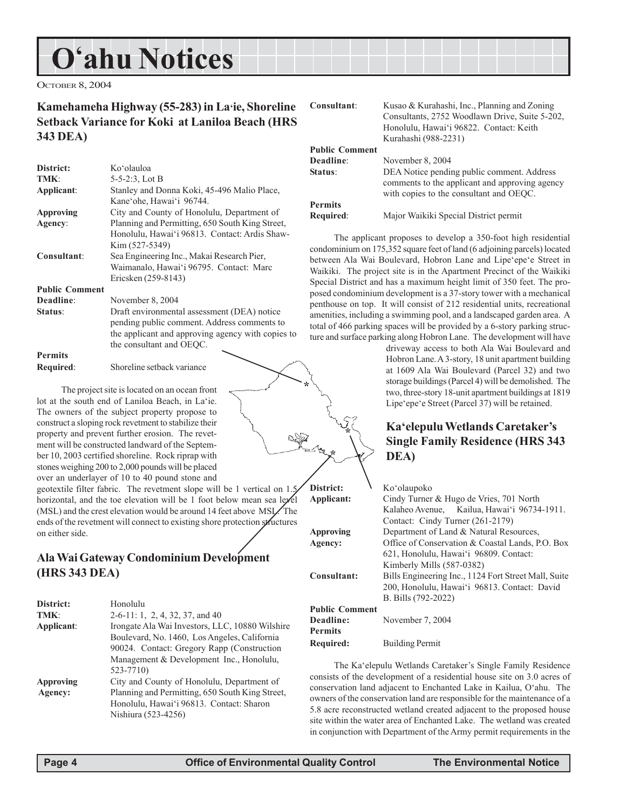## **O'ahu Notices**

OCTOBER 8, 2004

#### **Kamehameha Highway (55-283) in La'ie, Shoreline Setback Variance for Koki at Laniloa Beach (HRS 343 DEA)**

| District:             | Koʻolauloa                                        |
|-----------------------|---------------------------------------------------|
| TMK:                  | $5-5-2:3$ , Lot B                                 |
| Applicant:            | Stanley and Donna Koki, 45-496 Malio Place,       |
|                       | Kane'ohe, Hawai'i 96744.                          |
| <b>Approving</b>      | City and County of Honolulu, Department of        |
| Agency:               | Planning and Permitting, 650 South King Street,   |
|                       | Honolulu, Hawai'i 96813. Contact: Ardis Shaw-     |
|                       | Kim (527-5349)                                    |
| Consultant:           | Sea Engineering Inc., Makai Research Pier,        |
|                       | Waimanalo, Hawai'i 96795. Contact: Marc           |
|                       | Ericsken (259-8143)                               |
| <b>Public Comment</b> |                                                   |
| Deadline:             | November 8, 2004                                  |
| Status:               | Draft environmental assessment (DEA) notice       |
|                       | pending public comment. Address comments to       |
|                       | the applicant and approving agency with copies to |
|                       | the consultant and OEOC.                          |
| <b>Permits</b>        |                                                   |
|                       |                                                   |

**Required**: Shoreline setback variance

The project site is located on an ocean front lot at the south end of Laniloa Beach, in La'ie. The owners of the subject property propose to construct a sloping rock revetment to stabilize their property and prevent further erosion. The revetment will be constructed landward of the September 10, 2003 certified shoreline. Rock riprap with stones weighing 200 to 2,000 pounds will be placed over an underlayer of 10 to 40 pound stone and

geotextile filter fabric. The revetment slope will be 1 vertical on 1.5 horizontal, and the toe elevation will be 1 foot below mean sea level (MSL) and the crest elevation would be around 14 feet above MSL. The ends of the revetment will connect to existing shore protection structures on either side.

### **Ala Wai Gateway Condominium Development (HRS 343 DEA)**

| District:        | Honolulu                                        |
|------------------|-------------------------------------------------|
| TMK:             | $2-6-11$ : 1, 2, 4, 32, 37, and 40              |
| Applicant:       | Irongate Ala Wai Investors, LLC, 10880 Wilshire |
|                  | Boulevard, No. 1460, Los Angeles, California    |
|                  | 90024. Contact: Gregory Rapp (Construction      |
|                  | Management & Development Inc., Honolulu,        |
|                  | 523-7710)                                       |
| <b>Approving</b> | City and County of Honolulu, Department of      |
| Agency:          | Planning and Permitting, 650 South King Street, |
|                  | Honolulu, Hawai'i 96813. Contact: Sharon        |
|                  | Nishiura (523-4256)                             |
|                  |                                                 |

| Consultant:           | Kusao & Kurahashi, Inc., Planning and Zoning<br>Consultants, 2752 Woodlawn Drive, Suite 5-202,<br>Honolulu, Hawai'i 96822. Contact: Keith<br>Kurahashi (988-2231) |
|-----------------------|-------------------------------------------------------------------------------------------------------------------------------------------------------------------|
| <b>Public Comment</b> |                                                                                                                                                                   |
| Deadline:             | November 8, 2004                                                                                                                                                  |
| Status:               | DEA Notice pending public comment. Address<br>comments to the applicant and approving agency<br>with copies to the consultant and OEOC.                           |
| <b>Permits</b>        |                                                                                                                                                                   |
| Required:             | Major Waikiki Special District permit                                                                                                                             |

The applicant proposes to develop a 350-foot high residential condominium on 175,352 square feet of land (6 adjoining parcels) located between Ala Wai Boulevard, Hobron Lane and Lipe'epe'e Street in Waikiki. The project site is in the Apartment Precinct of the Waikiki Special District and has a maximum height limit of 350 feet. The proposed condominium development is a 37-story tower with a mechanical penthouse on top. It will consist of 212 residential units, recreational amenities, including a swimming pool, and a landscaped garden area. A total of 466 parking spaces will be provided by a 6-story parking structure and surface parking along Hobron Lane. The development will have

driveway access to both Ala Wai Boulevard and Hobron Lane. A 3-story, 18 unit apartment building at 1609 Ala Wai Boulevard (Parcel 32) and two storage buildings (Parcel 4) will be demolished. The two, three-story 18-unit apartment buildings at 1819 Lipe'epe'e Street (Parcel 37) will be retained.

## **Ka'elepulu Wetlands Caretaker's Single Family Residence (HRS 343 DEA)**

| Applicant:            | Cindy Turner & Hugo de Vries, 701 North              |
|-----------------------|------------------------------------------------------|
|                       | Kalaheo Avenue, Kailua, Hawai'i 96734-1911.          |
|                       | Contact: Cindy Turner (261-2179)                     |
| Approving             | Department of Land & Natural Resources,              |
| Agency:               | Office of Conservation & Coastal Lands, P.O. Box     |
|                       | 621, Honolulu, Hawai'i 96809. Contact:               |
|                       | Kimberly Mills (587-0382)                            |
| Consultant:           | Bills Engineering Inc., 1124 Fort Street Mall, Suite |
|                       | 200, Honolulu, Hawai'i 96813. Contact: David         |
|                       | B. Bills (792-2022)                                  |
| <b>Public Comment</b> |                                                      |
| Deadline:             | November 7, 2004                                     |
| <b>Permits</b>        |                                                      |
| Required:             | <b>Building Permit</b>                               |

The Ka'elepulu Wetlands Caretaker's Single Family Residence consists of the development of a residential house site on 3.0 acres of conservation land adjacent to Enchanted Lake in Kailua, O'ahu. The owners of the conservation land are responsible for the maintenance of a 5.8 acre reconstructed wetland created adjacent to the proposed house site within the water area of Enchanted Lake. The wetland was created in conjunction with Department of the Army permit requirements in the

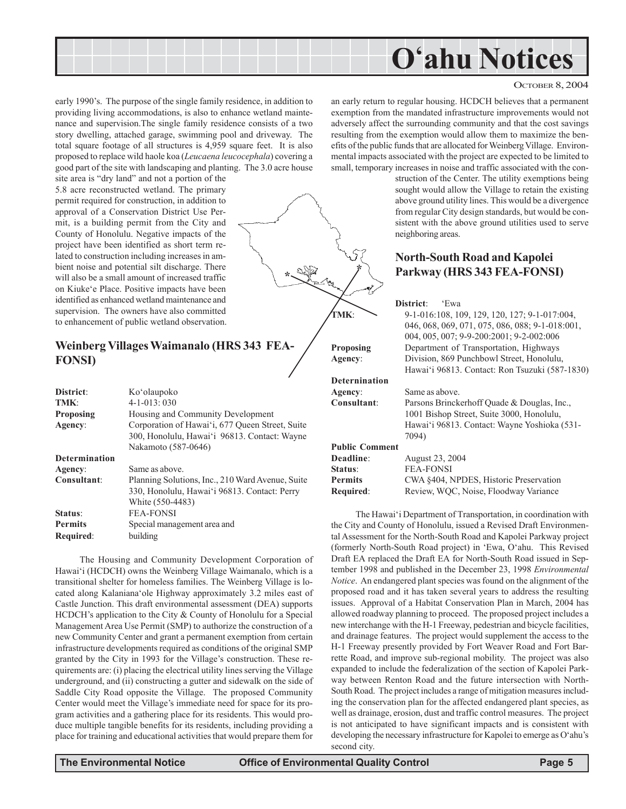

**\***

#### OCTOBER 8, 2004

early 1990's. The purpose of the single family residence, in addition to providing living accommodations, is also to enhance wetland maintenance and supervision.The single family residence consists of a two story dwelling, attached garage, swimming pool and driveway. The total square footage of all structures is 4,959 square feet. It is also proposed to replace wild haole koa (*Leucaena leucocephala*) covering a good part of the site with landscaping and planting. The 3.0 acre house

site area is "dry land" and not a portion of the 5.8 acre reconstructed wetland. The primary permit required for construction, in addition to approval of a Conservation District Use Permit, is a building permit from the City and County of Honolulu. Negative impacts of the project have been identified as short term related to construction including increases in ambient noise and potential silt discharge. There will also be a small amount of increased traffic on Kiuke'e Place. Positive impacts have been identified as enhanced wetland maintenance and supervision. The owners have also committed to enhancement of public wetland observation.

### **Weinberg Villages Waimanalo (HRS 343 FEA-FONSI)**

| District:            | Ko'olaupoko                                      |
|----------------------|--------------------------------------------------|
| TMK:                 | $4 - 1 - 013:030$                                |
| <b>Proposing</b>     | Housing and Community Development                |
| Agency:              | Corporation of Hawai'i, 677 Queen Street, Suite  |
|                      | 300, Honolulu, Hawai'i 96813. Contact: Wayne     |
|                      | Nakamoto (587-0646)                              |
| <b>Determination</b> |                                                  |
| Agency:              | Same as above.                                   |
| Consultant:          | Planning Solutions, Inc., 210 Ward Avenue, Suite |
|                      | 330, Honolulu, Hawai'i 96813. Contact: Perry     |
|                      | White (550-4483)                                 |
| Status:              | <b>FEA-FONSI</b>                                 |
| <b>Permits</b>       | Special management area and                      |
| <b>Required:</b>     | building                                         |

The Housing and Community Development Corporation of Hawai'i (HCDCH) owns the Weinberg Village Waimanalo, which is a transitional shelter for homeless families. The Weinberg Village is located along Kalaniana'ole Highway approximately 3.2 miles east of Castle Junction. This draft environmental assessment (DEA) supports HCDCH's application to the City & County of Honolulu for a Special Management Area Use Permit (SMP) to authorize the construction of a new Community Center and grant a permanent exemption from certain infrastructure developments required as conditions of the original SMP granted by the City in 1993 for the Village's construction. These requirements are: (i) placing the electrical utility lines serving the Village underground, and (ii) constructing a gutter and sidewalk on the side of Saddle City Road opposite the Village. The proposed Community Center would meet the Village's immediate need for space for its program activities and a gathering place for its residents. This would produce multiple tangible benefits for its residents, including providing a place for training and educational activities that would prepare them for

an early return to regular housing. HCDCH believes that a permanent exemption from the mandated infrastructure improvements would not adversely affect the surrounding community and that the cost savings resulting from the exemption would allow them to maximize the benefits of the public funds that are allocated for Weinberg Village. Environmental impacts associated with the project are expected to be limited to small, temporary increases in noise and traffic associated with the con-

> struction of the Center. The utility exemptions being sought would allow the Village to retain the existing above ground utility lines. This would be a divergence from regular City design standards, but would be consistent with the above ground utilities used to serve neighboring areas.

#### **North-South Road and Kapolei Parkway (HRS 343 FEA-FONSI)**

#### **District**: 'Ewa

**TMK**: 9-1-016:108, 109, 129, 120, 127; 9-1-017:004, 046, 068, 069, 071, 075, 086, 088; 9-1-018:001, 004, 005, 007; 9-9-200:2001; 9-2-002:006 **Proposing** Department of Transportation, Highways **Agency**: Division, 869 Punchbowl Street, Honolulu, Hawai'i 96813. Contact: Ron Tsuzuki (587-1830)

#### **Deternination Agency**: Same as above.

**\***

**Consultant**: Parsons Brinckerhoff Quade & Douglas, Inc., 1001 Bishop Street, Suite 3000, Honolulu, Hawai'i 96813. Contact: Wayne Yoshioka (531- 7094)

### **Public Comment**

**Deadline**: August 23, 2004 **Status**: FEA-FONSI

**Permits** CWA §404, NPDES, Historic Preservation **Required:** Review, WQC, Noise, Floodway Variance

The Hawai'i Department of Transportation, in coordination with the City and County of Honolulu, issued a Revised Draft Environmental Assessment for the North-South Road and Kapolei Parkway project (formerly North-South Road project) in 'Ewa, O'ahu. This Revised Draft EA replaced the Draft EA for North-South Road issued in September 1998 and published in the December 23, 1998 *Environmental Notice*. An endangered plant species was found on the alignment of the proposed road and it has taken several years to address the resulting issues. Approval of a Habitat Conservation Plan in March, 2004 has allowed roadway planning to proceed. The proposed project includes a new interchange with the H-1 Freeway, pedestrian and bicycle facilities, and drainage features. The project would supplement the access to the H-1 Freeway presently provided by Fort Weaver Road and Fort Barrette Road, and improve sub-regional mobility. The project was also expanded to include the federalization of the section of Kapolei Parkway between Renton Road and the future intersection with North-South Road. The project includes a range of mitigation measures including the conservation plan for the affected endangered plant species, as well as drainage, erosion, dust and traffic control measures. The project is not anticipated to have significant impacts and is consistent with developing the necessary infrastructure for Kapolei to emerge as O'ahu's second city.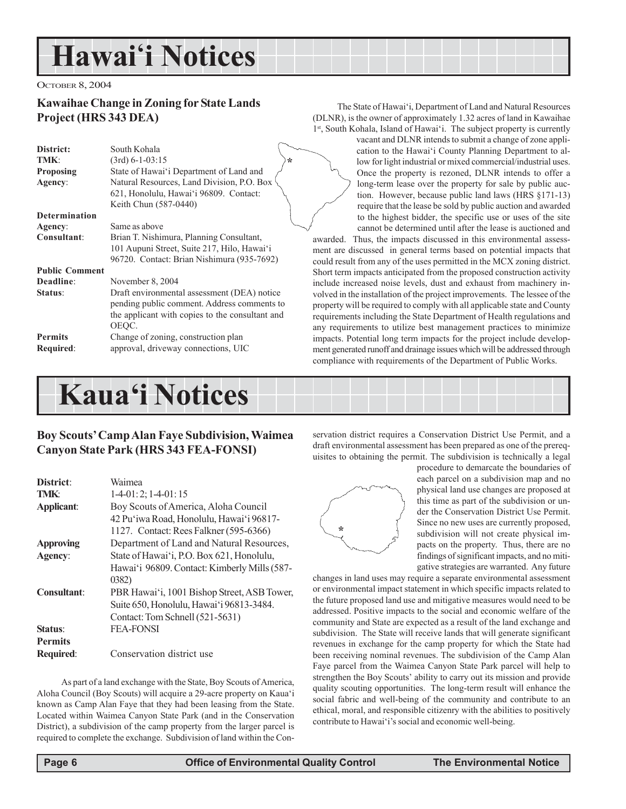## **Hawai'i Notices**

#### OCTOBER 8, 2004

#### **Kawaihae Change in Zoning for State Lands Project (HRS 343 DEA)**

| District:             | South Kohala                                    |
|-----------------------|-------------------------------------------------|
| TMK:                  | $(3rd)$ 6-1-03:15<br>÷                          |
| <b>Proposing</b>      | State of Hawai'i Department of Land and         |
| Agency:               | Natural Resources, Land Division, P.O. Box      |
|                       | 621, Honolulu, Hawai'i 96809. Contact:          |
|                       | Keith Chun (587-0440)                           |
| <b>Determination</b>  |                                                 |
| Agency:               | Same as above                                   |
| Consultant:           | Brian T. Nishimura, Planning Consultant,        |
|                       | 101 Aupuni Street, Suite 217, Hilo, Hawai'i     |
|                       | 96720. Contact: Brian Nishimura (935-7692)      |
| <b>Public Comment</b> |                                                 |
| Deadline:             | November 8, 2004                                |
| Status:               | Draft environmental assessment (DEA) notice     |
|                       | pending public comment. Address comments to     |
|                       | the applicant with copies to the consultant and |
|                       | OEOC.                                           |
| <b>Permits</b>        | Change of zoning, construction plan             |
| Required:             | approval, driveway connections, UIC             |
|                       |                                                 |

The State of Hawai'i, Department of Land and Natural Resources (DLNR), is the owner of approximately 1.32 acres of land in Kawaihae 1st, South Kohala, Island of Hawai'i. The subject property is currently

> vacant and DLNR intends to submit a change of zone application to the Hawai'i County Planning Department to allow for light industrial or mixed commercial/industrial uses. Once the property is rezoned, DLNR intends to offer a long-term lease over the property for sale by public auction. However, because public land laws (HRS §171-13) require that the lease be sold by public auction and awarded to the highest bidder, the specific use or uses of the site cannot be determined until after the lease is auctioned and

awarded. Thus, the impacts discussed in this environmental assessment are discussed in general terms based on potential impacts that could result from any of the uses permitted in the MCX zoning district. Short term impacts anticipated from the proposed construction activity include increased noise levels, dust and exhaust from machinery involved in the installation of the project improvements. The lessee of the property will be required to comply with all applicable state and County requirements including the State Department of Health regulations and any requirements to utilize best management practices to minimize impacts. Potential long term impacts for the project include development generated runoff and drainage issues which will be addressed through compliance with requirements of the Department of Public Works.

## **Kaua'i Notices**

#### **Boy Scouts' Camp Alan Faye Subdivision, Waimea Canyon State Park (HRS 343 FEA-FONSI)**

| District:          | Waimea                                       |
|--------------------|----------------------------------------------|
| TMK:               | $1-4-01:2; 1-4-01:15$                        |
| Applicant:         | Boy Scouts of America, Aloha Council         |
|                    | 42 Pu'iwa Road, Honolulu, Hawai'i 96817-     |
|                    | 1127. Contact: Rees Falkner (595-6366)       |
| <b>Approving</b>   | Department of Land and Natural Resources,    |
| Agency:            | State of Hawai'i, P.O. Box 621, Honolulu,    |
|                    | Hawai'i 96809. Contact: Kimberly Mills (587- |
|                    | (0382)                                       |
| <b>Consultant:</b> | PBR Hawai'i, 1001 Bishop Street, ASB Tower,  |
|                    | Suite 650, Honolulu, Hawai'i 96813-3484.     |
|                    | Contact: Tom Schnell (521-5631)              |
| Status:            | <b>FEA-FONSI</b>                             |
| <b>Permits</b>     |                                              |
| <b>Required:</b>   | Conservation district use                    |

As part of a land exchange with the State, Boy Scouts of America, Aloha Council (Boy Scouts) will acquire a 29-acre property on Kaua'i known as Camp Alan Faye that they had been leasing from the State. Located within Waimea Canyon State Park (and in the Conservation District), a subdivision of the camp property from the larger parcel is required to complete the exchange. Subdivision of land within the Conservation district requires a Conservation District Use Permit, and a draft environmental assessment has been prepared as one of the prerequisites to obtaining the permit. The subdivision is technically a legal



procedure to demarcate the boundaries of each parcel on a subdivision map and no physical land use changes are proposed at this time as part of the subdivision or under the Conservation District Use Permit. Since no new uses are currently proposed, subdivision will not create physical impacts on the property. Thus, there are no findings of significant impacts, and no mitigative strategies are warranted. Any future

changes in land uses may require a separate environmental assessment or environmental impact statement in which specific impacts related to the future proposed land use and mitigative measures would need to be addressed. Positive impacts to the social and economic welfare of the community and State are expected as a result of the land exchange and subdivision. The State will receive lands that will generate significant revenues in exchange for the camp property for which the State had been receiving nominal revenues. The subdivision of the Camp Alan Faye parcel from the Waimea Canyon State Park parcel will help to strengthen the Boy Scouts' ability to carry out its mission and provide quality scouting opportunities. The long-term result will enhance the social fabric and well-being of the community and contribute to an ethical, moral, and responsible citizenry with the abilities to positively contribute to Hawai'i's social and economic well-being.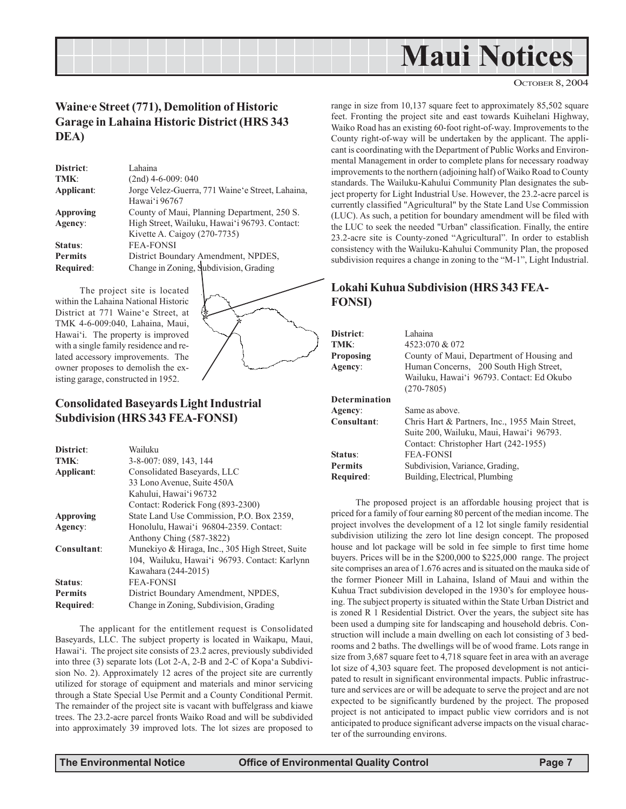

#### OCTOBER 8, 2004

#### **Waine'e Street (771), Demolition of Historic Garage in Lahaina Historic District (HRS 343 DEA)**

| District:        | Lahaina                                          |
|------------------|--------------------------------------------------|
| TMK:             | $(2nd)$ 4-6-009: 040                             |
| Applicant:       | Jorge Velez-Guerra, 771 Waine'e Street, Lahaina, |
|                  | Hawai'i 96767                                    |
| <b>Approving</b> | County of Maui, Planning Department, 250 S.      |
| Agency:          | High Street, Wailuku, Hawai'i 96793. Contact:    |
|                  | Kivette A. Caigoy (270-7735)                     |
| Status:          | <b>FEA-FONSI</b>                                 |
| <b>Permits</b>   | District Boundary Amendment, NPDES,              |
| Required:        | Change in Zoning, Subdivision, Grading           |

The project site is located within the Lahaina National Historic District at 771 Waine'e Street, at TMK 4-6-009:040, Lahaina, Maui, Hawai'i. The property is improved with a single family residence and related accessory improvements. The owner proposes to demolish the existing garage, constructed in 1952.



#### **Consolidated Baseyards Light Industrial Subdivision (HRS 343 FEA-FONSI)**

| District:        | Wailuku                                         |
|------------------|-------------------------------------------------|
| TMK:             | 3-8-007: 089, 143, 144                          |
| Applicant:       | Consolidated Basevards, LLC                     |
|                  | 33 Lono Avenue, Suite 450A                      |
|                  | Kahului, Hawai'i 96732                          |
|                  | Contact: Roderick Fong (893-2300)               |
| <b>Approving</b> | State Land Use Commission, P.O. Box 2359,       |
| Agency:          | Honolulu, Hawai'i 96804-2359. Contact:          |
|                  | Anthony Ching (587-3822)                        |
| Consultant:      | Munekiyo & Hiraga, Inc., 305 High Street, Suite |
|                  | 104, Wailuku, Hawai'i 96793. Contact: Karlynn   |
|                  | Kawahara (244-2015)                             |
| Status:          | <b>FEA-FONSI</b>                                |
| <b>Permits</b>   | District Boundary Amendment, NPDES,             |
| Required:        | Change in Zoning, Subdivision, Grading          |
|                  |                                                 |

The applicant for the entitlement request is Consolidated Baseyards, LLC. The subject property is located in Waikapu, Maui, Hawai'i. The project site consists of 23.2 acres, previously subdivided into three (3) separate lots (Lot 2-A, 2-B and 2-C of Kopa'a Subdivision No. 2). Approximately 12 acres of the project site are currently utilized for storage of equipment and materials and minor servicing through a State Special Use Permit and a County Conditional Permit. The remainder of the project site is vacant with buffelgrass and kiawe trees. The 23.2-acre parcel fronts Waiko Road and will be subdivided into approximately 39 improved lots. The lot sizes are proposed to

range in size from 10,137 square feet to approximately 85,502 square feet. Fronting the project site and east towards Kuihelani Highway, Waiko Road has an existing 60-foot right-of-way. Improvements to the County right-of-way will be undertaken by the applicant. The applicant is coordinating with the Department of Public Works and Environmental Management in order to complete plans for necessary roadway improvements to the northern (adjoining half) of Waiko Road to County standards. The Wailuku-Kahului Community Plan designates the subject property for Light Industrial Use. However, the 23.2-acre parcel is currently classified "Agricultural" by the State Land Use Commission (LUC). As such, a petition for boundary amendment will be filed with the LUC to seek the needed "Urban" classification. Finally, the entire 23.2-acre site is County-zoned "Agricultural". In order to establish consistency with the Wailuku-Kahului Community Plan, the proposed subdivision requires a change in zoning to the "M-1", Light Industrial.

#### **Lokahi Kuhua Subdivision (HRS 343 FEA-FONSI)**

| <b>District:</b><br>TMK:<br>Proposing<br>Agency: | Lahaina<br>4523:070 & 072<br>County of Maui, Department of Housing and<br>Human Concerns, 200 South High Street,<br>Wailuku, Hawai'i 96793. Contact: Ed Okubo<br>$(270 - 7805)$ |
|--------------------------------------------------|---------------------------------------------------------------------------------------------------------------------------------------------------------------------------------|
| Determination                                    |                                                                                                                                                                                 |
| Agency:                                          | Same as above.                                                                                                                                                                  |
| Consultant:                                      | Chris Hart & Partners, Inc., 1955 Main Street,<br>Suite 200, Wailuku, Maui, Hawai'i 96793.<br>Contact: Christopher Hart (242-1955)                                              |
| <b>Status:</b>                                   | <b>FEA-FONSI</b>                                                                                                                                                                |
| Permits                                          | Subdivision, Variance, Grading,                                                                                                                                                 |
| Required:                                        | Building, Electrical, Plumbing                                                                                                                                                  |

The proposed project is an affordable housing project that is priced for a family of four earning 80 percent of the median income. The project involves the development of a 12 lot single family residential subdivision utilizing the zero lot line design concept. The proposed house and lot package will be sold in fee simple to first time home buyers. Prices will be in the \$200,000 to \$225,000 range. The project site comprises an area of 1.676 acres and is situated on the mauka side of the former Pioneer Mill in Lahaina, Island of Maui and within the Kuhua Tract subdivision developed in the 1930's for employee housing. The subject property is situated within the State Urban District and is zoned R 1 Residential District. Over the years, the subject site has been used a dumping site for landscaping and household debris. Construction will include a main dwelling on each lot consisting of 3 bedrooms and 2 baths. The dwellings will be of wood frame. Lots range in size from 3,687 square feet to 4,718 square feet in area with an average lot size of 4,303 square feet. The proposed development is not anticipated to result in significant environmental impacts. Public infrastructure and services are or will be adequate to serve the project and are not expected to be significantly burdened by the project. The proposed project is not anticipated to impact public view corridors and is not anticipated to produce significant adverse impacts on the visual character of the surrounding environs.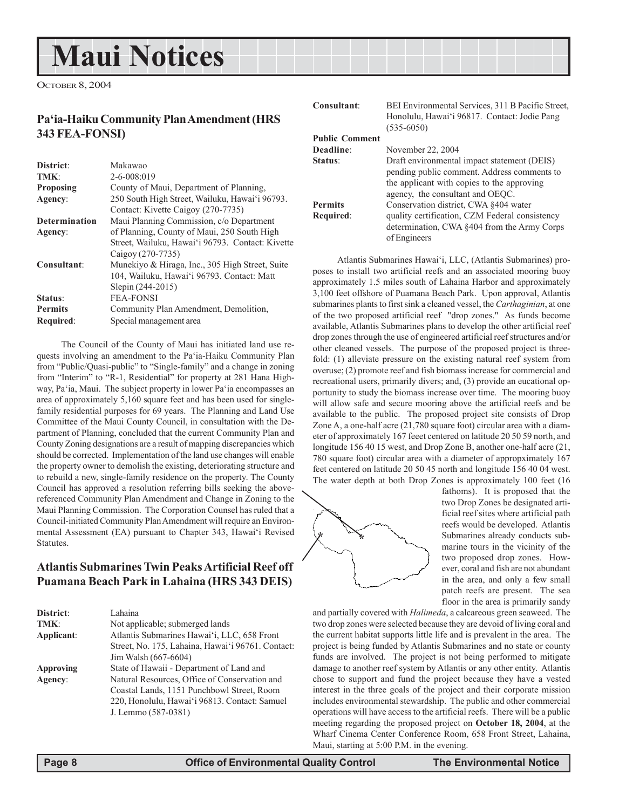## **Maui Notices**

OCTOBER 8, 2004

### **Pa'ia-Haiku Community Plan Amendment (HRS 343 FEA-FONSI)**

| District:            | Makawao                                          |
|----------------------|--------------------------------------------------|
| TMK:                 | $2 - 6 - 008:019$                                |
| <b>Proposing</b>     | County of Maui, Department of Planning,          |
| Agency:              | 250 South High Street, Wailuku, Hawai'i 96793.   |
|                      | Contact: Kivette Caigoy (270-7735)               |
| <b>Determination</b> | Maui Planning Commission, c/o Department         |
| Agency:              | of Planning, County of Maui, 250 South High      |
|                      | Street, Wailuku, Hawai'i 96793. Contact: Kivette |
|                      | Caigov (270-7735)                                |
| Consultant:          | Munekiyo & Hiraga, Inc., 305 High Street, Suite  |
|                      | 104, Wailuku, Hawai'i 96793. Contact: Matt       |
|                      | Slepin (244-2015)                                |
| Status:              | <b>FEA-FONSI</b>                                 |
| <b>Permits</b>       | Community Plan Amendment, Demolition,            |
| Required:            | Special management area                          |

The Council of the County of Maui has initiated land use requests involving an amendment to the Pa'ia-Haiku Community Plan from "Public/Quasi-public" to "Single-family" and a change in zoning from "Interim" to "R-1, Residential" for property at 281 Hana Highway, Pa'ia, Maui. The subject property in lower Pa'ia encompasses an area of approximately 5,160 square feet and has been used for singlefamily residential purposes for 69 years. The Planning and Land Use Committee of the Maui County Council, in consultation with the Department of Planning, concluded that the current Community Plan and County Zoning designations are a result of mapping discrepancies which should be corrected. Implementation of the land use changes will enable the property owner to demolish the existing, deteriorating structure and to rebuild a new, single-family residence on the property. The County Council has approved a resolution referring bills seeking the abovereferenced Community Plan Amendment and Change in Zoning to the Maui Planning Commission. The Corporation Counsel has ruled that a Council-initiated Community Plan Amendment will require an Environmental Assessment (EA) pursuant to Chapter 343, Hawai'i Revised Statutes.

#### **Atlantis Submarines Twin Peaks Artificial Reef off Puamana Beach Park in Lahaina (HRS 343 DEIS)**

| District:  | Lahaina                                           |
|------------|---------------------------------------------------|
| TMK:       | Not applicable; submerged lands                   |
| Applicant: | Atlantis Submarines Hawai'i, LLC, 658 Front       |
|            | Street, No. 175, Lahaina, Hawai'i 96761. Contact: |
|            | Jim Walsh (667-6604)                              |
| Approving  | State of Hawaii - Department of Land and          |
| Agency:    | Natural Resources, Office of Conservation and     |
|            | Coastal Lands, 1151 Punchbowl Street, Room        |
|            | 220, Honolulu, Hawai'i 96813. Contact: Samuel     |
|            | J. Lemmo (587-0381)                               |

**BEI Environmental Services, 311 B Pacific Street,** Honolulu, Hawai'i 96817. Contact: Jodie Pang (535-6050)

|                       | 100000001                                      |
|-----------------------|------------------------------------------------|
| <b>Public Comment</b> |                                                |
| Deadline:             | November 22, 2004                              |
| Status:               | Draft environmental impact statement (DEIS)    |
|                       | pending public comment. Address comments to    |
|                       | the applicant with copies to the approving     |
|                       | agency, the consultant and OEQC.               |
| <b>Permits</b>        | Conservation district, CWA §404 water          |
| Required:             | quality certification, CZM Federal consistency |
|                       | determination, CWA $\&404$ from the Army Corps |
|                       | of Engineers                                   |
|                       |                                                |

Atlantis Submarines Hawai'i, LLC, (Atlantis Submarines) proposes to install two artificial reefs and an associated mooring buoy approximately 1.5 miles south of Lahaina Harbor and approximately 3,100 feet offshore of Puamana Beach Park. Upon approval, Atlantis submarines plants to first sink a cleaned vessel, the *Carthaginian*, at one of the two proposed artificial reef "drop zones." As funds become available, Atlantis Submarines plans to develop the other artificial reef drop zones through the use of engineered artificial reef structures and/or other cleaned vessels. The purpose of the proposed project is threefold: (1) alleviate pressure on the existing natural reef system from overuse; (2) promote reef and fish biomass increase for commercial and recreational users, primarily divers; and, (3) provide an eucational opportunity to study the biomass increase over time. The mooring buoy will allow safe and secure mooring above the artificial reefs and be available to the public. The proposed project site consists of Drop Zone A, a one-half acre (21,780 square foot) circular area with a diameter of approximately 167 feeet centered on latitude 20 50 59 north, and longitude 156 40 15 west, and Drop Zone B, another one-half acre (21, 780 square foot) circular area with a diameter of appropximately 167 feet centered on latitude 20 50 45 north and longitude 156 40 04 west. The water depth at both Drop Zones is approximately 100 feet (16



fathoms). It is proposed that the two Drop Zones be designated artificial reef sites where artificial path reefs would be developed. Atlantis Submarines already conducts submarine tours in the vicinity of the two proposed drop zones. However, coral and fish are not abundant in the area, and only a few small patch reefs are present. The sea floor in the area is primarily sandy

and partially covered with *Halimeda*, a calcareous green seaweed. The two drop zones were selected because they are devoid of living coral and the current habitat supports little life and is prevalent in the area. The project is being funded by Atlantis Submarines and no state or county funds are involved. The project is not being performed to mitigate damage to another reef system by Atlantis or any other entity. Atlantis chose to support and fund the project because they have a vested interest in the three goals of the project and their corporate mission includes environmental stewardship. The public and other commercial operations will have access to the artificial reefs. There will be a public meeting regarding the proposed project on **October 18, 2004**, at the Wharf Cinema Center Conference Room, 658 Front Street, Lahaina, Maui, starting at 5:00 P.M. in the evening.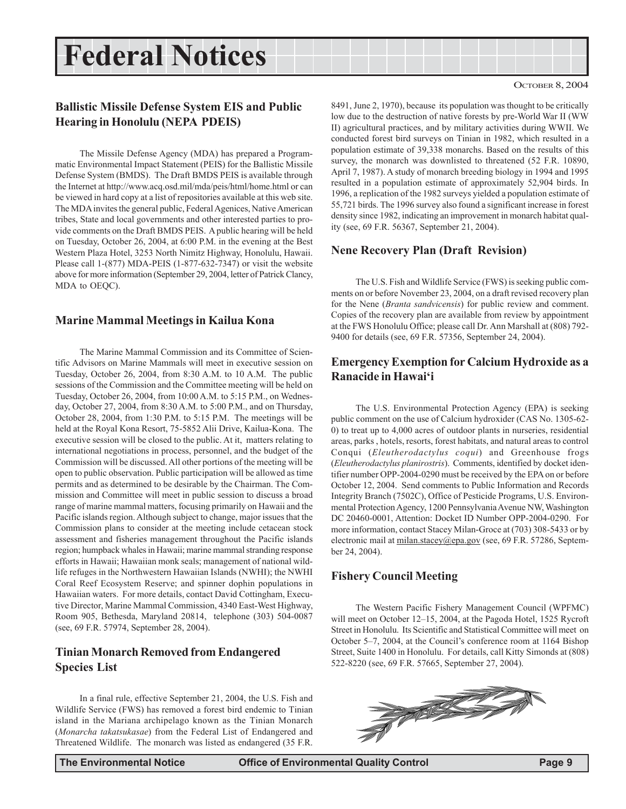## **Federal Notices Federal Notices**

#### **Ballistic Missile Defense System EIS and Public Hearing in Honolulu (NEPA PDEIS)**

The Missile Defense Agency (MDA) has prepared a Programmatic Environmental Impact Statement (PEIS) for the Ballistic Missile Defense System (BMDS). The Draft BMDS PEIS is available through the Internet at http://www.acq.osd.mil/mda/peis/html/home.html or can be viewed in hard copy at a list of repositories available at this web site. The MDA invites the general public, Federal Agenices, Native American tribes, State and local governments and other interested parties to provide comments on the Draft BMDS PEIS. A public hearing will be held on Tuesday, October 26, 2004, at 6:00 P.M. in the evening at the Best Western Plaza Hotel, 3253 North Nimitz Highway, Honolulu, Hawaii. Please call 1-(877) MDA-PEIS (1-877-632-7347) or visit the website above for more information (September 29, 2004, letter of Patrick Clancy, MDA to OEQC).

#### **Marine Mammal Meetings in Kailua Kona**

The Marine Mammal Commission and its Committee of Scientific Advisors on Marine Mammals will meet in executive session on Tuesday, October 26, 2004, from 8:30 A.M. to 10 A.M. The public sessions of the Commission and the Committee meeting will be held on Tuesday, October 26, 2004, from 10:00 A.M. to 5:15 P.M., on Wednesday, October 27, 2004, from 8:30 A.M. to 5:00 P.M., and on Thursday, October 28, 2004, from 1:30 P.M. to 5:15 P.M. The meetings will be held at the Royal Kona Resort, 75-5852 Alii Drive, Kailua-Kona. The executive session will be closed to the public. At it, matters relating to international negotiations in process, personnel, and the budget of the Commission will be discussed. All other portions of the meeting will be open to public observation. Public participation will be allowed as time permits and as determined to be desirable by the Chairman. The Commission and Committee will meet in public session to discuss a broad range of marine mammal matters, focusing primarily on Hawaii and the Pacific islands region. Although subject to change, major issues that the Commission plans to consider at the meeting include cetacean stock assessment and fisheries management throughout the Pacific islands region; humpback whales in Hawaii; marine mammal stranding response efforts in Hawaii; Hawaiian monk seals; management of national wildlife refuges in the Northwestern Hawaiian Islands (NWHI); the NWHI Coral Reef Ecosystem Reserve; and spinner dophin populations in Hawaiian waters. For more details, contact David Cottingham, Executive Director, Marine Mammal Commission, 4340 East-West Highway, Room 905, Bethesda, Maryland 20814, telephone (303) 504-0087 (see, 69 F.R. 57974, September 28, 2004).

#### **Tinian Monarch Removed from Endangered Species List**

In a final rule, effective September 21, 2004, the U.S. Fish and Wildlife Service (FWS) has removed a forest bird endemic to Tinian island in the Mariana archipelago known as the Tinian Monarch (*Monarcha takatsukasae*) from the Federal List of Endangered and Threatened Wildlife. The monarch was listed as endangered (35 F.R.

8491, June 2, 1970), because its population was thought to be critically low due to the destruction of native forests by pre-World War II (WW II) agricultural practices, and by military activities during WWII. We conducted forest bird surveys on Tinian in 1982, which resulted in a population estimate of 39,338 monarchs. Based on the results of this survey, the monarch was downlisted to threatened (52 F.R. 10890, April 7, 1987). A study of monarch breeding biology in 1994 and 1995 resulted in a population estimate of approximately 52,904 birds. In 1996, a replication of the 1982 surveys yielded a population estimate of 55,721 birds. The 1996 survey also found a significant increase in forest density since 1982, indicating an improvement in monarch habitat quality (see, 69 F.R. 56367, September 21, 2004).

#### **Nene Recovery Plan (Draft Revision)**

The U.S. Fish and Wildlife Service (FWS) is seeking public comments on or before November 23, 2004, on a draft revised recovery plan for the Nene (*Branta sandvicensis*) for public review and comment. Copies of the recovery plan are available from review by appointment at the FWS Honolulu Office; please call Dr. Ann Marshall at (808) 792- 9400 for details (see, 69 F.R. 57356, September 24, 2004).

#### **Emergency Exemption for Calcium Hydroxide as a Ranacide in Hawai'i**

The U.S. Environmental Protection Agency (EPA) is seeking public comment on the use of Calcium hydroxider (CAS No. 1305-62- 0) to treat up to 4,000 acres of outdoor plants in nurseries, residential areas, parks , hotels, resorts, forest habitats, and natural areas to control Conqui (*Eleutherodactylus coqui*) and Greenhouse frogs (*Eleutherodactylus planirostris*). Comments, identified by docket identifier number OPP-2004-0290 must be received by the EPA on or before October 12, 2004. Send comments to Public Information and Records Integrity Branch (7502C), Office of Pesticide Programs, U.S. Environmental Protection Agency, 1200 Pennsylvania Avenue NW, Washington DC 20460-0001, Attention: Docket ID Number OPP-2004-0290. For more information, contact Stacey Milan-Groce at (703) 308-5433 or by electronic mail at milan.stacey@epa.gov (see, 69 F.R. 57286, September 24, 2004).

#### **Fishery Council Meeting**

The Western Pacific Fishery Management Council (WPFMC) will meet on October 12–15, 2004, at the Pagoda Hotel, 1525 Rycroft Street in Honolulu. Its Scientific and Statistical Committee will meet on October 5–7, 2004, at the Council's conference room at 1164 Bishop Street, Suite 1400 in Honolulu. For details, call Kitty Simonds at (808) 522-8220 (see, 69 F.R. 57665, September 27, 2004).

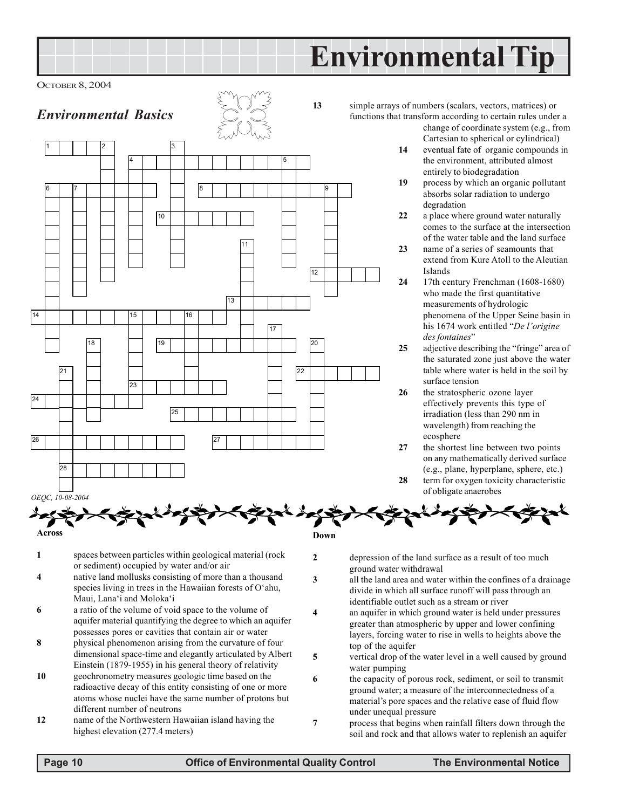## **Environmental Tip**

OCTOBER 8, 2004

## *Environmental Basics*



**13** simple arrays of numbers (scalars, vectors, matrices) or functions that transform according to certain rules under a

change of coordinate system (e.g., from Cartesian to spherical or cylindrical)

- **14** eventual fate of organic compounds in the environment, attributed almost entirely to biodegradation
- **19** process by which an organic pollutant absorbs solar radiation to undergo degradation
- **22** a place where ground water naturally comes to the surface at the intersection of the water table and the land surface
- **23** name of a series of seamounts that extend from Kure Atoll to the Aleutian Islands
- **24** 17th century Frenchman (1608-1680) who made the first quantitative measurements of hydrologic phenomena of the Upper Seine basin in his 1674 work entitled "*De l'origine des fontaines*"
- **25** adjective describing the "fringe" area of the saturated zone just above the water table where water is held in the soil by surface tension
- **26** the stratospheric ozone layer effectively prevents this type of irradiation (less than 290 nm in wavelength) from reaching the ecosphere
- **27** the shortest line between two points on any mathematically derived surface (e.g., plane, hyperplane, sphere, etc.)
- **28** term for oxygen toxicity characteristic of obligate anaerobes

**Across**

- **1** spaces between particles within geological material (rock or sediment) occupied by water and/or air
- **4** native land mollusks consisting of more than a thousand species living in trees in the Hawaiian forests of O'ahu, Maui, Lana'i and Moloka'i
- **6** a ratio of the volume of void space to the volume of aquifer material quantifying the degree to which an aquifer possesses pores or cavities that contain air or water
- **8** physical phenomenon arising from the curvature of four dimensional space-time and elegantly articulated by Albert Einstein (1879-1955) in his general theory of relativity
- **10** geochronometry measures geologic time based on the radioactive decay of this entity consisting of one or more atoms whose nuclei have the same number of protons but different number of neutrons
- **12** name of the Northwestern Hawaiian island having the highest elevation (277.4 meters)
- **2** depression of the land surface as a result of too much ground water withdrawal
- **3** all the land area and water within the confines of a drainage divide in which all surface runoff will pass through an identifiable outlet such as a stream or river
- **4** an aquifer in which ground water is held under pressures greater than atmospheric by upper and lower confining layers, forcing water to rise in wells to heights above the top of the aquifer
- **5** vertical drop of the water level in a well caused by ground water pumping
- **6** the capacity of porous rock, sediment, or soil to transmit ground water; a measure of the interconnectedness of a material's pore spaces and the relative ease of fluid flow under unequal pressure
- **7** process that begins when rainfall filters down through the soil and rock and that allows water to replenish an aquifer

**Down**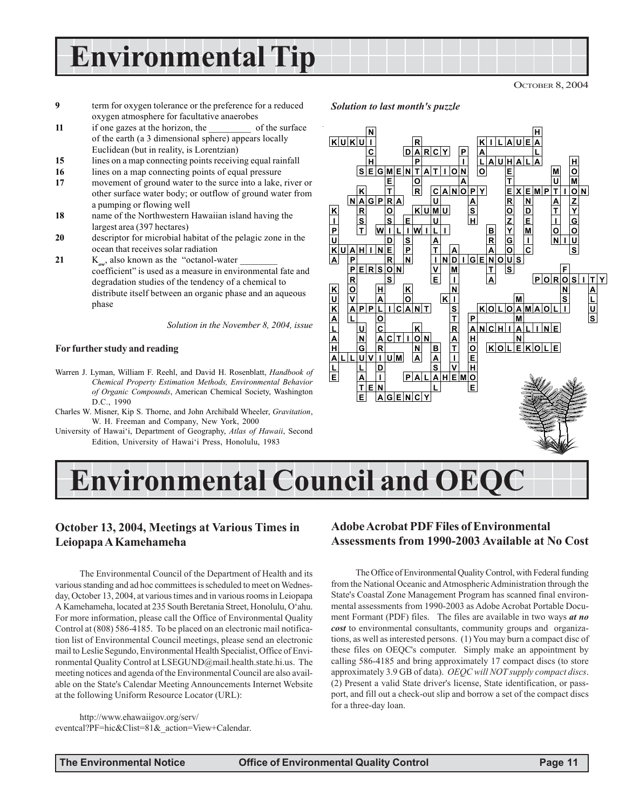**Environmental Tip**

OCTOBER 8, 2004

- **9** term for oxygen tolerance or the preference for a reduced oxygen atmosphere for facultative anaerobes
- **11** if one gazes at the horizon, the \_\_\_\_\_\_\_\_\_\_\_ of the surface of the earth (a 3 dimensional sphere) appears locally Euclidean (but in reality, is Lorentzian)
- **15** lines on a map connecting points receiving equal rainfall
- 16 lines on a map connecting points of equal pressure
- **17** movement of ground water to the surce into a lake, river or other surface water body; or outflow of ground water from a pumping or flowing well
- **18** name of the Northwestern Hawaiian island having the largest area (397 hectares)
- **20** descriptor for microbial habitat of the pelagic zone in the ocean that receives solar radiation
- **21** K<sub>ow</sub>, also known as the "octanol-water coefficient" is used as a measure in environmental fate and degradation studies of the tendency of a chemical to distribute itself between an organic phase and an aqueous phase

*Solution in the November 8, 2004, issue*

#### **For further study and reading**

- Warren J. Lyman, William F. Reehl, and David H. Rosenblatt, *Handbook of Chemical Property Estimation Methods, Environmental Behavior of Organic Compounds*, American Chemical Society, Washington D.C., 1990
- Charles W. Misner, Kip S. Thorne, and John Archibald Wheeler, *Gravitation*, W. H. Freeman and Company, New York, 2000
- University of Hawai'i, Department of Geography, *Atlas of Hawaii*, Second Edition, University of Hawai'i Press, Honolulu, 1983



*Solution to last month's puzzle*



### **October 13, 2004, Meetings at Various Times in Leiopapa A Kamehameha**

The Environmental Council of the Department of Health and its various standing and ad hoc committees is scheduled to meet on Wednesday, October 13, 2004, at various times and in various rooms in Leiopapa A Kamehameha, located at 235 South Beretania Street, Honolulu, O'ahu. For more information, please call the Office of Environmental Quality Control at (808) 586-4185. To be placed on an electronic mail notification list of Environmental Council meetings, please send an electronic mail to Leslie Segundo, Environmental Health Specialist, Office of Environmental Quality Control at LSEGUND@mail.health.state.hi.us. The meeting notices and agenda of the Environmental Council are also available on the State's Calendar Meeting Announcements Internet Website at the following Uniform Resource Locator (URL):

http://www.ehawaiigov.org/serv/ eventcal?PF=hic&Clist=81&\_action=View+Calendar.

#### **Adobe Acrobat PDF Files of Environmental Assessments from 1990-2003 Available at No Cost**

The Office of Environmental Quality Control, with Federal funding from the National Oceanic and Atmospheric Administration through the State's Coastal Zone Management Program has scanned final environmental assessments from 1990-2003 as Adobe Acrobat Portable Document Formant (PDF) files. The files are available in two ways *at no cost* to environmental consultants, community groups and organizations, as well as interested persons. (1) You may burn a compact disc of these files on OEQC's computer. Simply make an appointment by calling 586-4185 and bring approximately 17 compact discs (to store approximately 3.9 GB of data). *OEQC will NOT supply compact discs*. (2) Present a valid State driver's license, State identification, or passport, and fill out a check-out slip and borrow a set of the compact discs for a three-day loan.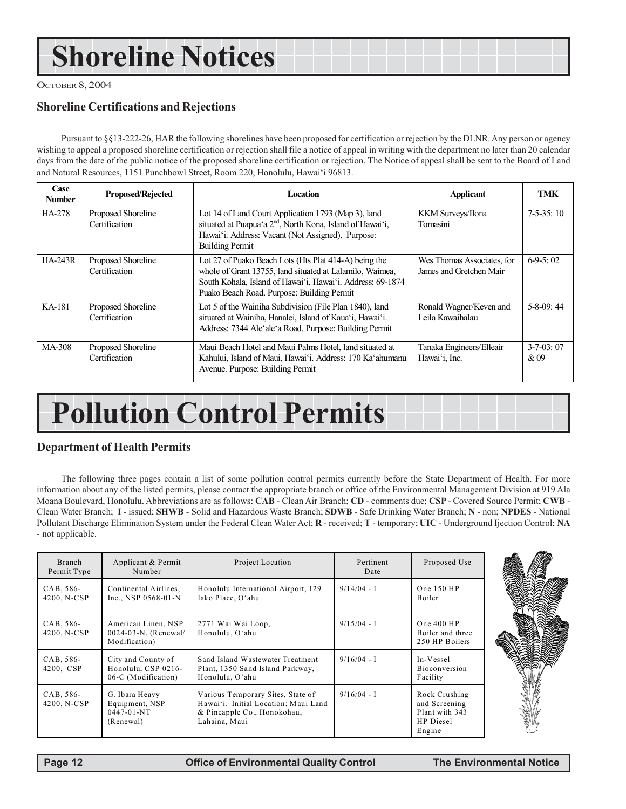## **Shoreline Notices**

OCTOBER 8, 2004

### **Shoreline Certifications and Rejections**

Pursuant to §§13-222-26, HAR the following shorelines have been proposed for certification or rejection by the DLNR. Any person or agency wishing to appeal a proposed shoreline certification or rejection shall file a notice of appeal in writing with the department no later than 20 calendar days from the date of the public notice of the proposed shoreline certification or rejection. The Notice of appeal shall be sent to the Board of Land and Natural Resources, 1151 Punchbowl Street, Room 220, Honolulu, Hawai'i 96813.

| Case<br><b>Number</b> | <b>Proposed/Rejected</b>            | <b>Location</b>                                                                                                                                                                                                               | <b>Applicant</b>                                      | <b>TMK</b>               |
|-----------------------|-------------------------------------|-------------------------------------------------------------------------------------------------------------------------------------------------------------------------------------------------------------------------------|-------------------------------------------------------|--------------------------|
| HA-278                | Proposed Shoreline<br>Certification | Lot 14 of Land Court Application 1793 (Map 3), land<br>situated at Puapua'a 2 <sup>nd</sup> , North Kona, Island of Hawai'i,<br>Hawai'i. Address: Vacant (Not Assigned). Purpose:<br><b>Building Permit</b>                   | KKM Surveys/Ilona<br>Tomasini                         | $7-5-35:10$              |
| <b>HA-243R</b>        | Proposed Shoreline<br>Certification | Lot 27 of Puako Beach Lots (Hts Plat 414-A) being the<br>whole of Grant 13755, land situated at Lalamilo, Waimea,<br>South Kohala, Island of Hawai'i, Hawai'i. Address: 69-1874<br>Puako Beach Road. Purpose: Building Permit | Wes Thomas Associates, for<br>James and Gretchen Mair | $6-9-5:02$               |
| KA-181                | Proposed Shoreline<br>Certification | Lot 5 of the Wainiha Subdivision (File Plan 1840), land<br>situated at Wainiha, Hanalei, Island of Kaua'i, Hawai'i.<br>Address: 7344 Ale'ale'a Road. Purpose: Building Permit                                                 | Ronald Wagner/Keven and<br>Leila Kawaihalau           | $5-8-09$ : 44            |
| MA-308                | Proposed Shoreline<br>Certification | Maui Beach Hotel and Maui Palms Hotel, land situated at<br>Kahului, Island of Maui, Hawai'i. Address: 170 Ka'ahumanu<br>Avenue. Purpose: Building Permit                                                                      | Tanaka Engineers/Elleair<br>Hawai'i, Inc.             | $3 - 7 - 03$ : 07<br>&09 |

## **Pollution Control Permits**

#### **Department of Health Permits**

The following three pages contain a list of some pollution control permits currently before the State Department of Health. For more information about any of the listed permits, please contact the appropriate branch or office of the Environmental Management Division at 919 Ala Moana Boulevard, Honolulu. Abbreviations are as follows: **CAB** - Clean Air Branch; **CD** - comments due; **CSP** - Covered Source Permit; **CWB** - Clean Water Branch; **I** - issued; **SHWB** - Solid and Hazardous Waste Branch; **SDWB** - Safe Drinking Water Branch; **N** - non; **NPDES** - National Pollutant Discharge Elimination System under the Federal Clean Water Act; **R** - received; **T** - temporary; **UIC** - Underground Ijection Control; **NA** - not applicable.

| Branch<br>Permit Type    | Applicant & Permit<br>Number                                      | Project Location                                                                                                          | Pertinent<br>Date | Proposed Use                                                                   |
|--------------------------|-------------------------------------------------------------------|---------------------------------------------------------------------------------------------------------------------------|-------------------|--------------------------------------------------------------------------------|
| CAB, 586-<br>4200, N-CSP | Continental Airlines.<br>Inc., NSP $0568-01-N$                    | Honolulu International Airport, 129<br>Iako Place, O'ahu                                                                  | $9/14/04 - I$     | One 150 HP<br><b>Boiler</b>                                                    |
| CAB, 586-<br>4200, N-CSP | American Linen, NSP<br>$0024-03-N$ , (Renewal/<br>Modification)   | 2771 Wai Wai Loop,<br>Honolulu, O'ahu                                                                                     | $9/15/04 - I$     | One $400$ HP<br>Boiler and three<br>250 HP Boilers                             |
| CAB, 586-<br>4200, CSP   | City and County of<br>Honolulu, CSP 0216-<br>06-C (Modification)  | Sand Island Wastewater Treatment<br>Plant, 1350 Sand Island Parkway,<br>Honolulu, O'ahu                                   | $9/16/04 - I$     | In-Vessel<br>Bioconversion<br>Facility                                         |
| CAB, 586-<br>4200, N-CSP | G. Ibara Heavy<br>Equipment, NSP<br>$0447 - 01 - NT$<br>(Renewal) | Various Temporary Sites, State of<br>Hawai'i. Initial Location: Maui Land<br>& Pineapple Co., Honokohau,<br>Lahaina, Maui | $9/16/04 - I$     | Rock Crushing<br>and Screening<br>Plant with 343<br><b>HP</b> Diesel<br>Engine |

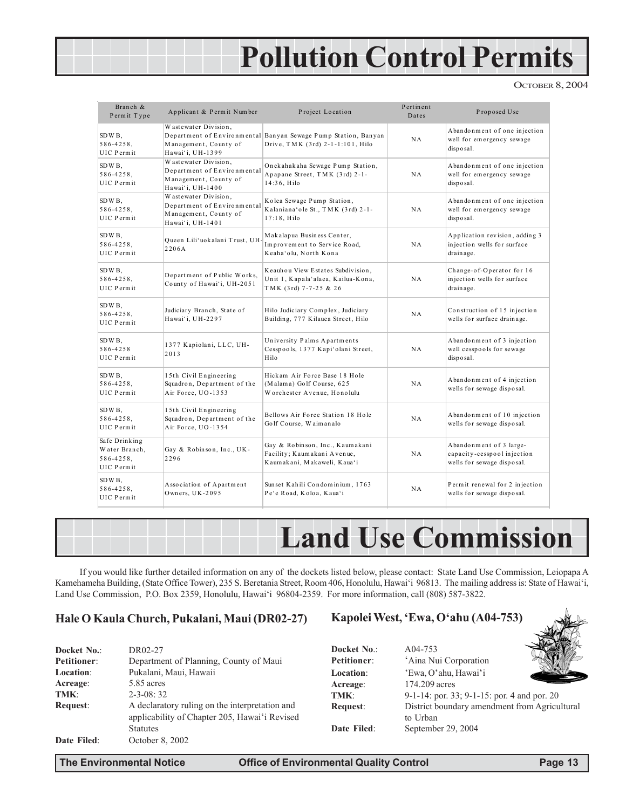## **Pollution Control Permits**

OCTOBER 8, 2004

| Branch &<br>Permit Type                                        | Applicant & Permit Number                                                                        | Project Location                                                                                   | Pertinent<br>Dates | Proposed Use                                                                         |
|----------------------------------------------------------------|--------------------------------------------------------------------------------------------------|----------------------------------------------------------------------------------------------------|--------------------|--------------------------------------------------------------------------------------|
| SDWB,<br>$586 - 4258$ ,<br>UIC Permit                          | Wastewater Division.<br>Management, County of<br>Hawai'i, UH-1399                                | Department of Environmental Banyan Sewage Pump Station, Banyan<br>Drive, TMK (3rd) 2-1-1:101, Hilo | NA                 | Abandonment of one injection<br>well for emergency sewage<br>disposal.               |
| SDWB.<br>$586 - 4258$ ,<br>UIC Permit                          | Wastewater Division,<br>Department of Environmental<br>Management, County of<br>Hawai'i, UH-1400 | Onekahakaha Sewage Pump Station,<br>Apapane Street, TMK (3rd) 2-1-<br>14:36, Hilo                  | NA                 | Abandonment of one injection<br>well for emergency sewage<br>disposal.               |
| SDWB.<br>$586 - 4258$ ,<br>UIC Permit                          | Wastewater Division,<br>Department of Environmental<br>Management, County of<br>Hawai'i, UH-1401 | Kolea Sewage Pump Station,<br>Kalaniana'ole St., TMK (3rd) 2-1-<br>$17:18$ , Hilo                  | NA                 | Abandonment of one injection<br>well for emergency sewage<br>disposal.               |
| SDWB,<br>$586 - 4258$ ,<br>UIC Permit                          | Queen Lili'uokalani Trust, UH-<br>2206A                                                          | Makalapua Business Center,<br>Improvement to Service Road,<br>Keaha'olu, North Kona                | NA                 | Application revision, adding 3<br>injection wells for surface<br>drainage.           |
| SDWB.<br>$586 - 4258$ .<br>UIC Permit                          | Department of Public Works,<br>County of Hawai'i, UH-2051                                        | Keauhou View Estates Subdivision,<br>Unit 1, Kapala'alaea, Kailua-Kona,<br>TMK (3rd) 7-7-25 & 26   | N A                | Change-of-Operator for 16<br>injection wells for surface<br>drainage.                |
| SDWB.<br>$586 - 4258$ ,<br>UIC Permit                          | Judiciary Branch, State of<br>Hawai'i, UH-2297                                                   | Hilo Judiciary Complex, Judiciary<br>Building, 777 Kilauea Street, Hilo                            | NA                 | Construction of 15 injection<br>wells for surface drainage.                          |
| SDWB,<br>586-4258<br>UIC Permit                                | 1377 Kapiolani, LLC, UH-<br>2013                                                                 | University Palms Apartments<br>Cesspools, 1377 Kapi'olani Street,<br>Hilo                          | NA                 | Abandonment of 3 injection<br>well cesspools for sewage<br>disposal.                 |
| SDWB.<br>$586 - 4258$ ,<br>UIC Permit                          | 15th Civil Engineering<br>Squadron, Department of the<br>Air Force, UO-1353                      | Hickam Air Force Base 18 Hole<br>(Malama) Golf Course, 625<br>Worchester Avenue, Honolulu          | N A                | Abandonment of 4 injection<br>wells for sewage disposal.                             |
| SDWB,<br>$586 - 4258$ ,<br>UIC Permit                          | 15th Civil Engineering<br>Squadron, Department of the<br>Air Force, UO-1354                      | Bellows Air Force Station 18 Hole<br>Golf Course, Waimanalo                                        | NA                 | Abandonment of 10 injection<br>wells for sewage disposal.                            |
| Safe Drinking<br>Water Branch,<br>$586 - 4258$ ,<br>UIC Permit | Gay & Robinson, Inc., UK-<br>2296                                                                | Gay & Robinson, Inc., Kaumakani<br>Facility; Kaumakani Avenue,<br>Kaumakani, Makaweli, Kaua'i      | NA                 | Abandonment of 3 large-<br>capacity-cesspool injection<br>wells for sewage disposal. |
| SDWB.<br>$586 - 4258$ ,<br>UIC Permit                          | Association of Apartment<br>Owners, UK-2095                                                      | Sun set Kahili Condominium, 1763<br>Pe'e Road, Koloa, Kaua'i                                       | NA                 | Permit renewal for 2 injection<br>wells for sewage disposal.                         |



If you would like further detailed information on any of the dockets listed below, please contact: State Land Use Commission, Leiopapa A Kamehameha Building, (State Office Tower), 235 S. Beretania Street, Room 406, Honolulu, Hawai'i 96813. The mailing address is: State of Hawai'i, Land Use Commission, P.O. Box 2359, Honolulu, Hawai'i 96804-2359. For more information, call (808) 587-3822.

#### **Hale O Kaula Church, Pukalani, Maui (DR02-27)**

| Docket No.: | DR02-27                                                                                                            |
|-------------|--------------------------------------------------------------------------------------------------------------------|
| Petitioner: | Department of Planning, County of Maui                                                                             |
| Location:   | Pukalani, Maui, Hawaii                                                                                             |
| Acreage:    | 5.85 acres                                                                                                         |
| TMK:        | $2 - 3 - 08:32$                                                                                                    |
| Request:    | A declaratory ruling on the interpretation and<br>applicability of Chapter 205, Hawai'i Revised<br><b>Statutes</b> |
| Date Filed: | October 8, 2002                                                                                                    |

#### **Kapolei West, 'Ewa, O'ahu (A04-753)**

| Docket No.:        | A04-753                                        |
|--------------------|------------------------------------------------|
| <b>Petitioner:</b> | 'Aina Nui Corporation                          |
| <b>Location:</b>   | 'Ewa, O'ahu, Hawai'i                           |
| Acreage:           | 174.209 acres                                  |
| TMK:               | 9-1-14: por. $33$ ; 9-1-15: por. 4 and por. 20 |
| Request:           | District boundary amendment from Agricultural  |
|                    | to Urban                                       |
| Date Filed:        | September 29, 2004                             |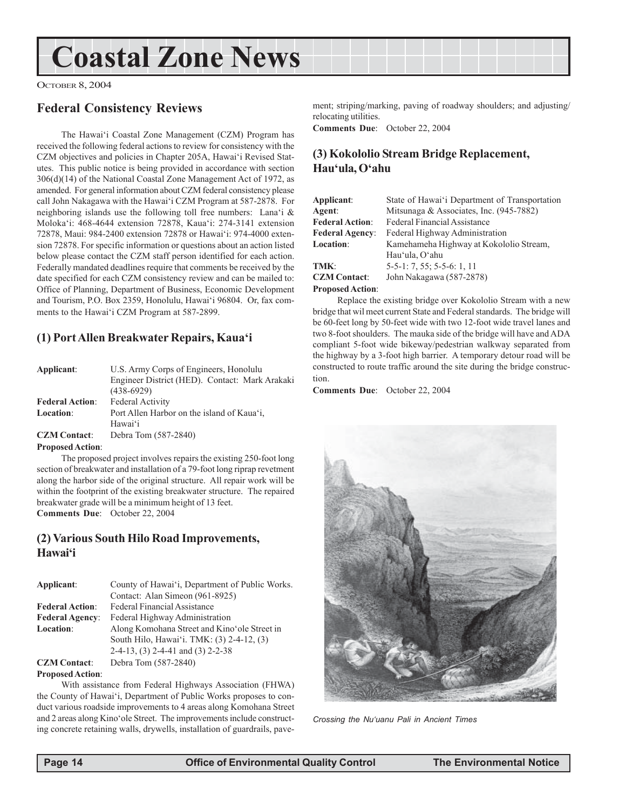## **Coastal Zone News**

OCTOBER 8, 2004

### **Federal Consistency Reviews**

The Hawai'i Coastal Zone Management (CZM) Program has received the following federal actions to review for consistency with the CZM objectives and policies in Chapter 205A, Hawai'i Revised Statutes. This public notice is being provided in accordance with section 306(d)(14) of the National Coastal Zone Management Act of 1972, as amended. For general information about CZM federal consistency please call John Nakagawa with the Hawai'i CZM Program at 587-2878. For neighboring islands use the following toll free numbers: Lana'i & Moloka'i: 468-4644 extension 72878, Kaua'i: 274-3141 extension 72878, Maui: 984-2400 extension 72878 or Hawai'i: 974-4000 extension 72878. For specific information or questions about an action listed below please contact the CZM staff person identified for each action. Federally mandated deadlines require that comments be received by the date specified for each CZM consistency review and can be mailed to: Office of Planning, Department of Business, Economic Development and Tourism, P.O. Box 2359, Honolulu, Hawai'i 96804. Or, fax comments to the Hawai'i CZM Program at 587-2899.

### **(1) Port Allen Breakwater Repairs, Kaua'i**

| Applicant:                | U.S. Army Corps of Engineers, Honolulu         |
|---------------------------|------------------------------------------------|
|                           | Engineer District (HED). Contact: Mark Arakaki |
|                           | $(438-6929)$                                   |
| <b>Federal Action:</b>    | <b>Federal Activity</b>                        |
| Location:                 | Port Allen Harbor on the island of Kaua'i,     |
|                           | Hawai'i                                        |
| <b>CZM</b> Contact:       | Debra Tom (587-2840)                           |
| Dropocod $\lambda$ otion: |                                                |

#### **Proposed Action**:

The proposed project involves repairs the existing 250-foot long section of breakwater and installation of a 79-foot long riprap revetment along the harbor side of the original structure. All repair work will be within the footprint of the existing breakwater structure. The repaired breakwater grade will be a minimum height of 13 feet. **Comments Due**: October 22, 2004

#### **(2) Various South Hilo Road Improvements, Hawai'i**

| Applicant:             | County of Hawai'i, Department of Public Works. |
|------------------------|------------------------------------------------|
|                        | Contact: Alan Simeon (961-8925)                |
| <b>Federal Action:</b> | Federal Financial Assistance                   |
| <b>Federal Agency:</b> | Federal Highway Administration                 |
| Location:              | Along Komohana Street and Kino'ole Street in   |
|                        | South Hilo, Hawai'i. TMK: (3) 2-4-12, (3)      |
|                        | $2-4-13$ , (3) 2-4-41 and (3) 2-2-38           |
| <b>CZM Contact:</b>    | Debra Tom (587-2840)                           |

#### **Proposed Action**:

With assistance from Federal Highways Association (FHWA) the County of Hawai'i, Department of Public Works proposes to conduct various roadside improvements to 4 areas along Komohana Street and 2 areas along Kino'ole Street. The improvements include constructing concrete retaining walls, drywells, installation of guardrails, pavement; striping/marking, paving of roadway shoulders; and adjusting/ relocating utilities.

**Comments Due**: October 22, 2004

### **(3) Kokololio Stream Bridge Replacement, Hau'ula, O'ahu**

| Applicant:              | State of Hawai'i Department of Transportation |
|-------------------------|-----------------------------------------------|
| Agent:                  | Mitsunaga & Associates, Inc. $(945-7882)$     |
| <b>Federal Action:</b>  | <b>Federal Financial Assistance</b>           |
| <b>Federal Agency:</b>  | Federal Highway Administration                |
| Location:               | Kamehameha Highway at Kokololio Stream,       |
|                         | Hau'ula, O'ahu                                |
| TMK:                    | $5-5-1$ : 7, 55; 5-5-6: 1, 11                 |
| <b>CZM Contact:</b>     | John Nakagawa (587-2878)                      |
| <b>Proposed Action:</b> |                                               |

Replace the existing bridge over Kokololio Stream with a new bridge that wil meet current State and Federal standards. The bridge will be 60-feet long by 50-feet wide with two 12-foot wide travel lanes and two 8-foot shoulders. The mauka side of the bridge will have and ADA compliant 5-foot wide bikeway/pedestrian walkway separated from the highway by a 3-foot high barrier. A temporary detour road will be constructed to route traffic around the site during the bridge construction.

**Comments Due**: October 22, 2004



*Crossing the Nu'uanu Pali in Ancient Times*